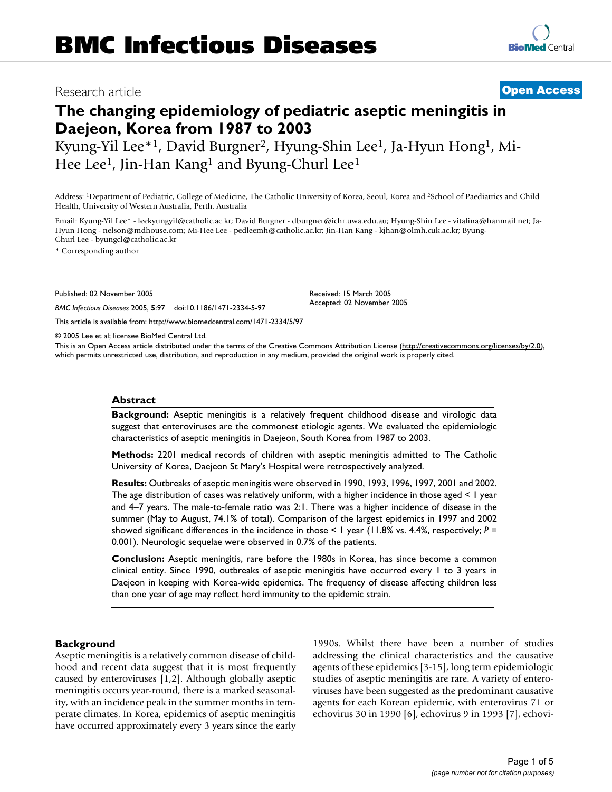## Research article **[Open Access](http://www.biomedcentral.com/info/about/charter/)**

# **The changing epidemiology of pediatric aseptic meningitis in Daejeon, Korea from 1987 to 2003**

Kyung-Yil Lee\*1, David Burgner2, Hyung-Shin Lee1, Ja-Hyun Hong1, Mi-Hee Lee<sup>1</sup>, Jin-Han Kang<sup>1</sup> and Byung-Churl Lee<sup>1</sup>

Address: 1Department of Pediatric, College of Medicine, The Catholic University of Korea, Seoul, Korea and 2School of Paediatrics and Child Health, University of Western Australia, Perth, Australia

Email: Kyung-Yil Lee\* - leekyungyil@catholic.ac.kr; David Burgner - dburgner@ichr.uwa.edu.au; Hyung-Shin Lee - vitalina@hanmail.net; Ja-Hyun Hong - nelson@mdhouse.com; Mi-Hee Lee - pedleemh@catholic.ac.kr; Jin-Han Kang - kjhan@olmh.cuk.ac.kr; Byung-Churl Lee - byungcl@catholic.ac.kr

\* Corresponding author

Published: 02 November 2005

*BMC Infectious Diseases* 2005, **5**:97 doi:10.1186/1471-2334-5-97

[This article is available from: http://www.biomedcentral.com/1471-2334/5/97](http://www.biomedcentral.com/1471-2334/5/97)

Accepted: 02 November 2005

Received: 15 March 2005

© 2005 Lee et al; licensee BioMed Central Ltd.

This is an Open Access article distributed under the terms of the Creative Commons Attribution License [\(http://creativecommons.org/licenses/by/2.0\)](http://creativecommons.org/licenses/by/2.0), which permits unrestricted use, distribution, and reproduction in any medium, provided the original work is properly cited.

#### **Abstract**

**Background:** Aseptic meningitis is a relatively frequent childhood disease and virologic data suggest that enteroviruses are the commonest etiologic agents. We evaluated the epidemiologic characteristics of aseptic meningitis in Daejeon, South Korea from 1987 to 2003.

**Methods:** 2201 medical records of children with aseptic meningitis admitted to The Catholic University of Korea, Daejeon St Mary's Hospital were retrospectively analyzed.

**Results:** Outbreaks of aseptic meningitis were observed in 1990, 1993, 1996, 1997, 2001 and 2002. The age distribution of cases was relatively uniform, with a higher incidence in those aged < 1 year and 4–7 years. The male-to-female ratio was 2:1. There was a higher incidence of disease in the summer (May to August, 74.1% of total). Comparison of the largest epidemics in 1997 and 2002 showed significant differences in the incidence in those < 1 year (11.8% vs. 4.4%, respectively; *P* = 0.001). Neurologic sequelae were observed in 0.7% of the patients.

**Conclusion:** Aseptic meningitis, rare before the 1980s in Korea, has since become a common clinical entity. Since 1990, outbreaks of aseptic meningitis have occurred every 1 to 3 years in Daejeon in keeping with Korea-wide epidemics. The frequency of disease affecting children less than one year of age may reflect herd immunity to the epidemic strain.

#### **Background**

Aseptic meningitis is a relatively common disease of childhood and recent data suggest that it is most frequently caused by enteroviruses [1,2]. Although globally aseptic meningitis occurs year-round, there is a marked seasonality, with an incidence peak in the summer months in temperate climates. In Korea, epidemics of aseptic meningitis have occurred approximately every 3 years since the early

1990s. Whilst there have been a number of studies addressing the clinical characteristics and the causative agents of these epidemics [3-15], long term epidemiologic studies of aseptic meningitis are rare. A variety of enteroviruses have been suggested as the predominant causative agents for each Korean epidemic, with enterovirus 71 or echovirus 30 in 1990 [6], echovirus 9 in 1993 [7], echovi-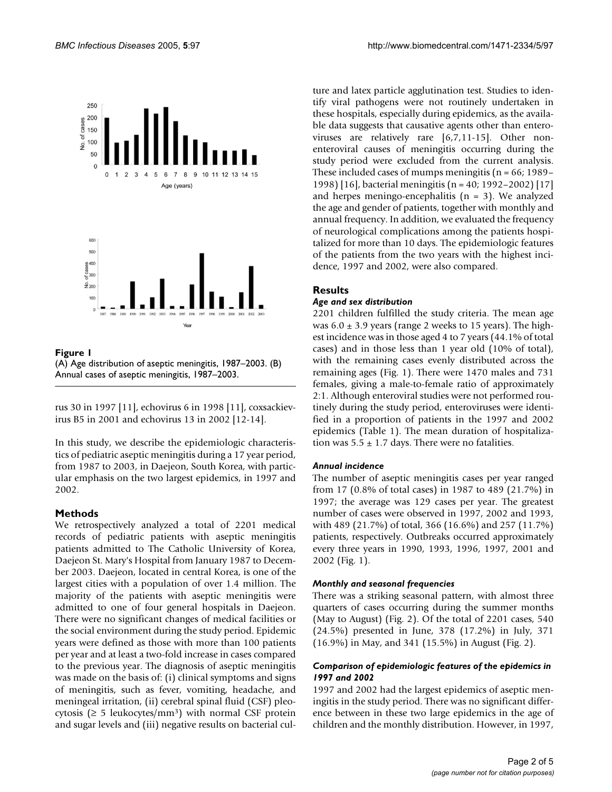

Figure 1 (A) Age distribution of aseptic meningitis, 1987–2003. (B) Annual cases of aseptic meningitis, 1987–2003.

rus 30 in 1997 [11], echovirus 6 in 1998 [11], coxsackievirus B5 in 2001 and echovirus 13 in 2002 [12-14].

In this study, we describe the epidemiologic characteristics of pediatric aseptic meningitis during a 17 year period, from 1987 to 2003, in Daejeon, South Korea, with particular emphasis on the two largest epidemics, in 1997 and 2002.

#### **Methods**

We retrospectively analyzed a total of 2201 medical records of pediatric patients with aseptic meningitis patients admitted to The Catholic University of Korea, Daejeon St. Mary's Hospital from January 1987 to December 2003. Daejeon, located in central Korea, is one of the largest cities with a population of over 1.4 million. The majority of the patients with aseptic meningitis were admitted to one of four general hospitals in Daejeon. There were no significant changes of medical facilities or the social environment during the study period. Epidemic years were defined as those with more than 100 patients per year and at least a two-fold increase in cases compared to the previous year. The diagnosis of aseptic meningitis was made on the basis of: (i) clinical symptoms and signs of meningitis, such as fever, vomiting, headache, and meningeal irritation, (ii) cerebral spinal fluid (CSF) pleocytosis ( $\geq$  5 leukocytes/mm<sup>3</sup>) with normal CSF protein and sugar levels and (iii) negative results on bacterial culture and latex particle agglutination test. Studies to identify viral pathogens were not routinely undertaken in these hospitals, especially during epidemics, as the available data suggests that causative agents other than enteroviruses are relatively rare [6,7,11-15]. Other nonenteroviral causes of meningitis occurring during the study period were excluded from the current analysis. These included cases of mumps meningitis ( $n = 66$ ; 1989– 1998) [16], bacterial meningitis (n = 40; 1992–2002) [17] and herpes meningo-encephalitis  $(n = 3)$ . We analyzed the age and gender of patients, together with monthly and annual frequency. In addition, we evaluated the frequency of neurological complications among the patients hospitalized for more than 10 days. The epidemiologic features of the patients from the two years with the highest incidence, 1997 and 2002, were also compared.

### **Results**

#### *Age and sex distribution*

2201 children fulfilled the study criteria. The mean age was  $6.0 \pm 3.9$  years (range 2 weeks to 15 years). The highest incidence was in those aged 4 to 7 years (44.1% of total cases) and in those less than 1 year old (10% of total), with the remaining cases evenly distributed across the remaining ages (Fig. 1). There were 1470 males and 731 females, giving a male-to-female ratio of approximately 2:1. Although enteroviral studies were not performed routinely during the study period, enteroviruses were identified in a proportion of patients in the 1997 and 2002 epidemics (Table 1). The mean duration of hospitalization was  $5.5 \pm 1.7$  days. There were no fatalities.

#### *Annual incidence*

The number of aseptic meningitis cases per year ranged from 17 (0.8% of total cases) in 1987 to 489 (21.7%) in 1997; the average was 129 cases per year. The greatest number of cases were observed in 1997, 2002 and 1993, with 489 (21.7%) of total, 366 (16.6%) and 257 (11.7%) patients, respectively. Outbreaks occurred approximately every three years in 1990, 1993, 1996, 1997, 2001 and 2002 (Fig. 1).

#### *Monthly and seasonal frequencies*

There was a striking seasonal pattern, with almost three quarters of cases occurring during the summer months (May to August) (Fig. 2). Of the total of 2201 cases, 540 (24.5%) presented in June, 378 (17.2%) in July, 371 (16.9%) in May, and 341 (15.5%) in August (Fig. 2).

#### *Comparison of epidemiologic features of the epidemics in 1997 and 2002*

1997 and 2002 had the largest epidemics of aseptic meningitis in the study period. There was no significant difference between in these two large epidemics in the age of children and the monthly distribution. However, in 1997,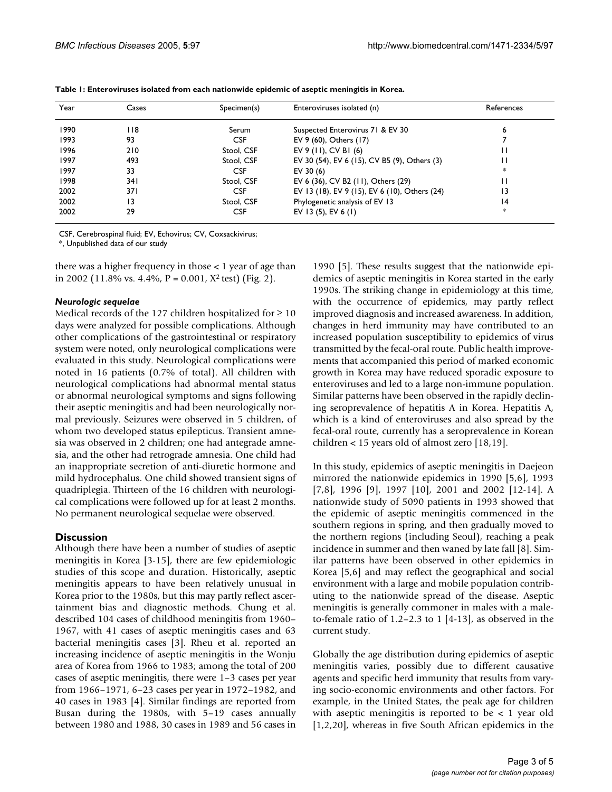| Year | Cases | Specimen(s) | Enteroviruses isolated (n)                    | References |
|------|-------|-------------|-----------------------------------------------|------------|
| 1990 | I 18  | Serum       | Suspected Enterovirus 71 & EV 30              | 6          |
| 1993 | 93    | <b>CSF</b>  | EV 9 (60), Others (17)                        |            |
| 1996 | 210   | Stool, CSF  | EV 9 (11), CV B1 (6)                          |            |
| 1997 | 493   | Stool, CSF  | EV 30 (54), EV 6 (15), CV B5 (9), Others (3)  | н          |
| 1997 | 33    | <b>CSF</b>  | EV 30 $(6)$                                   | *          |
| 1998 | 341   | Stool, CSF  | EV 6 (36), CV B2 (11), Others (29)            |            |
| 2002 | 371   | <b>CSF</b>  | EV 13 (18), EV 9 (15), EV 6 (10), Others (24) | 13         |
| 2002 | 13    | Stool, CSF  | Phylogenetic analysis of EV 13                | 4          |
| 2002 | 29    | <b>CSF</b>  | EV 13 (5), EV 6 (1)                           | *          |

| Table 1: Enteroviruses isolated from each nationwide epidemic of aseptic meningitis in Korea. |  |  |  |
|-----------------------------------------------------------------------------------------------|--|--|--|
|-----------------------------------------------------------------------------------------------|--|--|--|

CSF, Cerebrospinal fluid; EV, Echovirus; CV, Coxsackivirus;

\*, Unpublished data of our study

there was a higher frequency in those < 1 year of age than in 2002 (11.8% vs. 4.4%,  $P = 0.001$ ,  $X^2$  test) (Fig. 2).

#### *Neurologic sequelae*

Medical records of the 127 children hospitalized for  $\geq 10$ days were analyzed for possible complications. Although other complications of the gastrointestinal or respiratory system were noted, only neurological complications were evaluated in this study. Neurological complications were noted in 16 patients (0.7% of total). All children with neurological complications had abnormal mental status or abnormal neurological symptoms and signs following their aseptic meningitis and had been neurologically normal previously. Seizures were observed in 5 children, of whom two developed status epilepticus. Transient amnesia was observed in 2 children; one had antegrade amnesia, and the other had retrograde amnesia. One child had an inappropriate secretion of anti-diuretic hormone and mild hydrocephalus. One child showed transient signs of quadriplegia. Thirteen of the 16 children with neurological complications were followed up for at least 2 months. No permanent neurological sequelae were observed.

#### **Discussion**

Although there have been a number of studies of aseptic meningitis in Korea [3-15], there are few epidemiologic studies of this scope and duration. Historically, aseptic meningitis appears to have been relatively unusual in Korea prior to the 1980s, but this may partly reflect ascertainment bias and diagnostic methods. Chung et al. described 104 cases of childhood meningitis from 1960– 1967, with 41 cases of aseptic meningitis cases and 63 bacterial meningitis cases [3]. Rheu et al. reported an increasing incidence of aseptic meningitis in the Wonju area of Korea from 1966 to 1983; among the total of 200 cases of aseptic meningitis, there were 1–3 cases per year from 1966–1971, 6–23 cases per year in 1972–1982, and 40 cases in 1983 [4]. Similar findings are reported from Busan during the 1980s, with 5–19 cases annually between 1980 and 1988, 30 cases in 1989 and 56 cases in

1990 [5]. These results suggest that the nationwide epidemics of aseptic meningitis in Korea started in the early 1990s. The striking change in epidemiology at this time, with the occurrence of epidemics, may partly reflect improved diagnosis and increased awareness. In addition, changes in herd immunity may have contributed to an increased population susceptibility to epidemics of virus transmitted by the fecal-oral route. Public health improvements that accompanied this period of marked economic growth in Korea may have reduced sporadic exposure to enteroviruses and led to a large non-immune population. Similar patterns have been observed in the rapidly declining seroprevalence of hepatitis A in Korea. Hepatitis A, which is a kind of enteroviruses and also spread by the fecal-oral route, currently has a seroprevalence in Korean children < 15 years old of almost zero [18,19].

In this study, epidemics of aseptic meningitis in Daejeon mirrored the nationwide epidemics in 1990 [5,6], 1993 [7,8], 1996 [9], 1997 [10], 2001 and 2002 [12-14]. A nationwide study of 5090 patients in 1993 showed that the epidemic of aseptic meningitis commenced in the southern regions in spring, and then gradually moved to the northern regions (including Seoul), reaching a peak incidence in summer and then waned by late fall [8]. Similar patterns have been observed in other epidemics in Korea [5,6] and may reflect the geographical and social environment with a large and mobile population contributing to the nationwide spread of the disease. Aseptic meningitis is generally commoner in males with a maleto-female ratio of 1.2–2.3 to 1 [4-13], as observed in the current study.

Globally the age distribution during epidemics of aseptic meningitis varies, possibly due to different causative agents and specific herd immunity that results from varying socio-economic environments and other factors. For example, in the United States, the peak age for children with aseptic meningitis is reported to be  $\lt$  1 year old [1,2,20], whereas in five South African epidemics in the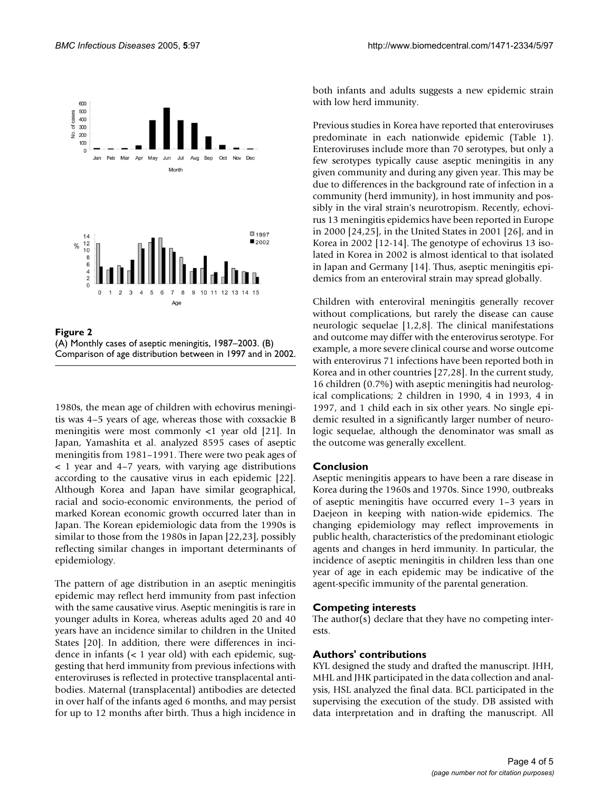

**Figure 2** (A) Monthly cases of aseptic meningitis, 1987–2003. (B) Comparison of age distribution between in 1997 and in 2002.

1980s, the mean age of children with echovirus meningitis was 4–5 years of age, whereas those with coxsackie B meningitis were most commonly <1 year old [21]. In Japan, Yamashita et al. analyzed 8595 cases of aseptic meningitis from 1981–1991. There were two peak ages of < 1 year and 4–7 years, with varying age distributions according to the causative virus in each epidemic [22]. Although Korea and Japan have similar geographical, racial and socio-economic environments, the period of marked Korean economic growth occurred later than in Japan. The Korean epidemiologic data from the 1990s is similar to those from the 1980s in Japan [22,23], possibly reflecting similar changes in important determinants of epidemiology.

The pattern of age distribution in an aseptic meningitis epidemic may reflect herd immunity from past infection with the same causative virus. Aseptic meningitis is rare in younger adults in Korea, whereas adults aged 20 and 40 years have an incidence similar to children in the United States [20]. In addition, there were differences in incidence in infants (< 1 year old) with each epidemic, suggesting that herd immunity from previous infections with enteroviruses is reflected in protective transplacental antibodies. Maternal (transplacental) antibodies are detected in over half of the infants aged 6 months, and may persist for up to 12 months after birth. Thus a high incidence in both infants and adults suggests a new epidemic strain with low herd immunity.

Previous studies in Korea have reported that enteroviruses predominate in each nationwide epidemic (Table 1). Enteroviruses include more than 70 serotypes, but only a few serotypes typically cause aseptic meningitis in any given community and during any given year. This may be due to differences in the background rate of infection in a community (herd immunity), in host immunity and possibly in the viral strain's neurotropism. Recently, echovirus 13 meningitis epidemics have been reported in Europe in 2000 [24,25], in the United States in 2001 [26], and in Korea in 2002 [12-14]. The genotype of echovirus 13 isolated in Korea in 2002 is almost identical to that isolated in Japan and Germany [14]. Thus, aseptic meningitis epidemics from an enteroviral strain may spread globally.

Children with enteroviral meningitis generally recover without complications, but rarely the disease can cause neurologic sequelae [1,2,8]. The clinical manifestations and outcome may differ with the enterovirus serotype. For example, a more severe clinical course and worse outcome with enterovirus 71 infections have been reported both in Korea and in other countries [27,28]. In the current study, 16 children (0.7%) with aseptic meningitis had neurological complications; 2 children in 1990, 4 in 1993, 4 in 1997, and 1 child each in six other years. No single epidemic resulted in a significantly larger number of neurologic sequelae, although the denominator was small as the outcome was generally excellent.

#### **Conclusion**

Aseptic meningitis appears to have been a rare disease in Korea during the 1960s and 1970s. Since 1990, outbreaks of aseptic meningitis have occurred every 1–3 years in Daejeon in keeping with nation-wide epidemics. The changing epidemiology may reflect improvements in public health, characteristics of the predominant etiologic agents and changes in herd immunity. In particular, the incidence of aseptic meningitis in children less than one year of age in each epidemic may be indicative of the agent-specific immunity of the parental generation.

#### **Competing interests**

The author(s) declare that they have no competing interests.

#### **Authors' contributions**

KYL designed the study and drafted the manuscript. JHH, MHL and JHK participated in the data collection and analysis, HSL analyzed the final data. BCL participated in the supervising the execution of the study. DB assisted with data interpretation and in drafting the manuscript. All